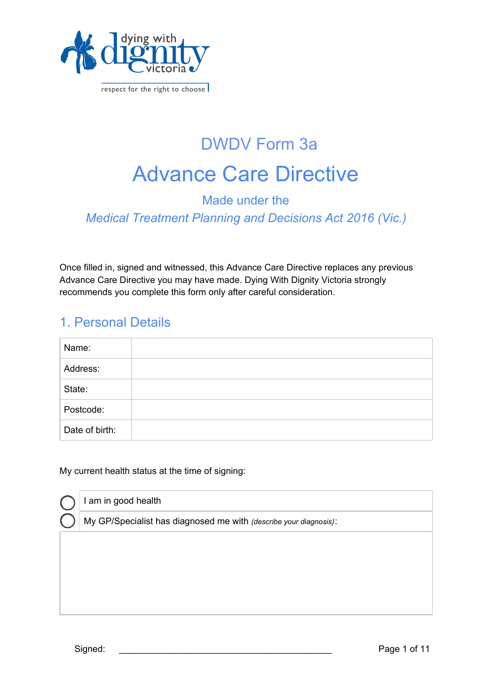

respect for the right to choose

# Advance Care Directive DWDV Form 3a

### Made under the *Medical Treatment Planning and Decisions Act 2016 (Vic.)*

Once filled in, signed and witnessed, this Advance Care Directive replaces any previous Advance Care Directive you may have made. Dying With Dignity Victoria strongly recommends you complete this form only after careful consideration.

### 1. Personal Details

| Name:          |  |
|----------------|--|
| Address:       |  |
| State:         |  |
| Postcode:      |  |
| Date of birth: |  |

My current health status at the time of signing:

| I am in good health                                               |
|-------------------------------------------------------------------|
| My GP/Specialist has diagnosed me with (describe your diagnosis): |
|                                                                   |
|                                                                   |
|                                                                   |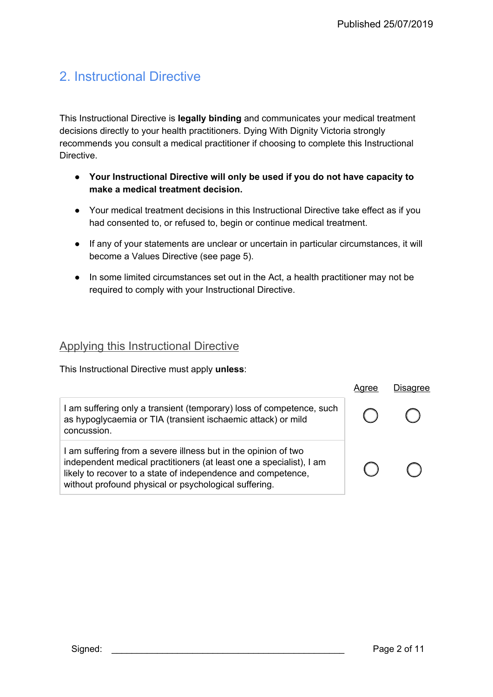# 2. Instructional Directive

This Instructional Directive is **legally binding** and communicates your medical treatment decisions directly to your health practitioners. Dying With Dignity Victoria strongly recommends you consult a medical practitioner if choosing to complete this Instructional Directive.

- **Your Instructional Directive will only be used if you do not have capacity to make a medical treatment decision.**
- Your medical treatment decisions in this Instructional Directive take effect as if you had consented to, or refused to, begin or continue medical treatment.
- If any of your statements are unclear or uncertain in particular circumstances, it will become a Values Directive (see page 5).
- In some limited circumstances set out in the Act, a health practitioner may not be required to comply with your Instructional Directive.

### Applying this Instructional Directive

This Instructional Directive must apply **unless**:

|                                                                                                                                                                                                                                                                | Aaree | Disagree |
|----------------------------------------------------------------------------------------------------------------------------------------------------------------------------------------------------------------------------------------------------------------|-------|----------|
| I am suffering only a transient (temporary) loss of competence, such<br>as hypoglycaemia or TIA (transient ischaemic attack) or mild<br>concussion.                                                                                                            |       |          |
| I am suffering from a severe illness but in the opinion of two<br>independent medical practitioners (at least one a specialist), I am<br>likely to recover to a state of independence and competence,<br>without profound physical or psychological suffering. |       |          |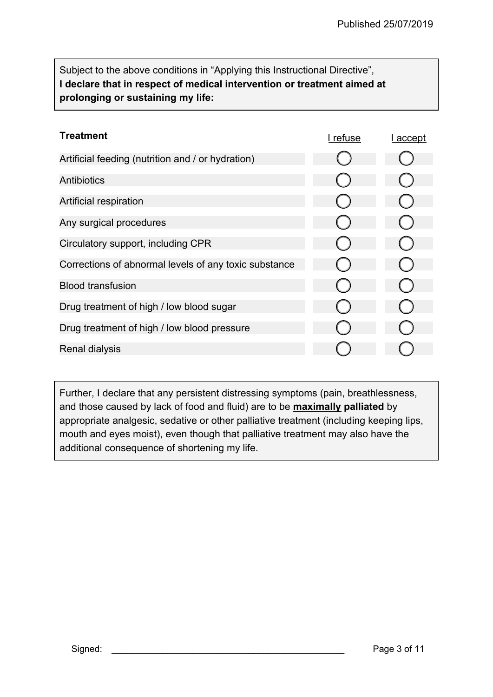Subject to the above conditions in "Applying this Instructional Directive", **I declare that in respect of medical intervention or treatment aimed at prolonging or sustaining my life:** 

| Treatment                                             | l refuse | <u>accept</u> |
|-------------------------------------------------------|----------|---------------|
| Artificial feeding (nutrition and / or hydration)     |          |               |
| <b>Antibiotics</b>                                    |          |               |
| Artificial respiration                                |          |               |
| Any surgical procedures                               |          |               |
| Circulatory support, including CPR                    |          |               |
| Corrections of abnormal levels of any toxic substance |          |               |
| <b>Blood transfusion</b>                              |          |               |
| Drug treatment of high / low blood sugar              |          |               |
| Drug treatment of high / low blood pressure           |          |               |
| Renal dialysis                                        |          |               |

Further, I declare that any persistent distressing symptoms (pain, breathlessness, and those caused by lack of food and fluid) are to be **maximally palliated** by appropriate analgesic, sedative or other palliative treatment (including keeping lips, mouth and eyes moist), even though that palliative treatment may also have the additional consequence of shortening my life.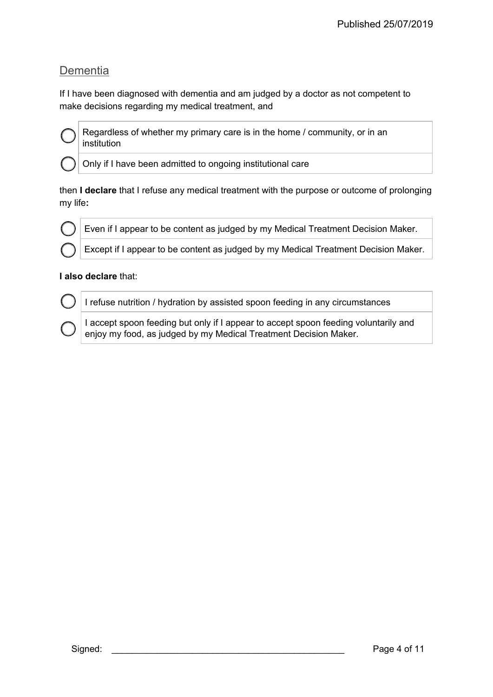### **Dementia**

If I have been diagnosed with dementia and am judged by a doctor as not competent to make decisions regarding my medical treatment, and



Regardless of whether my primary care is in the home / community, or in an institution

Only if I have been admitted to ongoing institutional care

then **I declare** that I refuse any medical treatment with the purpose or outcome of prolonging my life**:** 



Even if I appear to be content as judged by my Medical Treatment Decision Maker.

Except if I appear to be content as judged by my Medical Treatment Decision Maker.

#### **I also declare** that:

I refuse nutrition / hydration by assisted spoon feeding in any circumstances

I accept spoon feeding but only if I appear to accept spoon feeding voluntarily and enjoy my food, as judged by my Medical Treatment Decision Maker.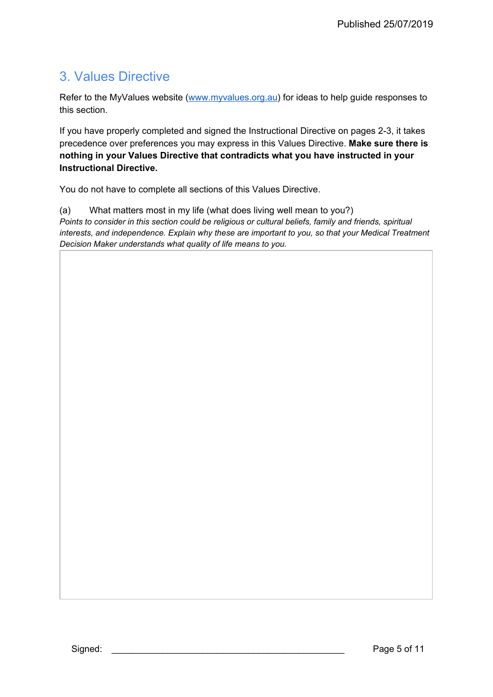## 3. Values Directive

Refer to the MyValues website ([www.myvalues.org.au\)](http://www.myvalues.org.au/) for ideas to help guide responses to this section.

If you have properly completed and signed the Instructional Directive on pages 2-3, it takes precedence over preferences you may express in this Values Directive. **Make sure there is nothing in your Values Directive that contradicts what you have instructed in your Instructional Directive.** 

You do not have to complete all sections of this Values Directive.

(a) What matters most in my life (what does living well mean to you?) *Points to consider in this section could be religious or cultural beliefs, family and friends, spiritual interests, and independence. Explain why these are important to you, so that your Medical Treatment Decision Maker understands what quality of life means to you.*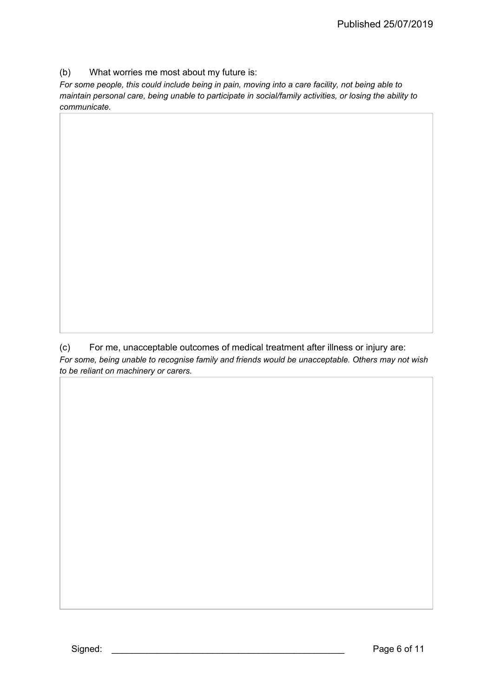(b) What worries me most about my future is:

*For some people, this could include being in pain, moving into a care facility, not being able to maintain personal care, being unable to participate in social/family activities, or losing the ability to communicate.* 

(c) For me, unacceptable outcomes of medical treatment after illness or injury are: *For some, being unable to recognise family and friends would be unacceptable. Others may not wish to be reliant on machinery or carers.*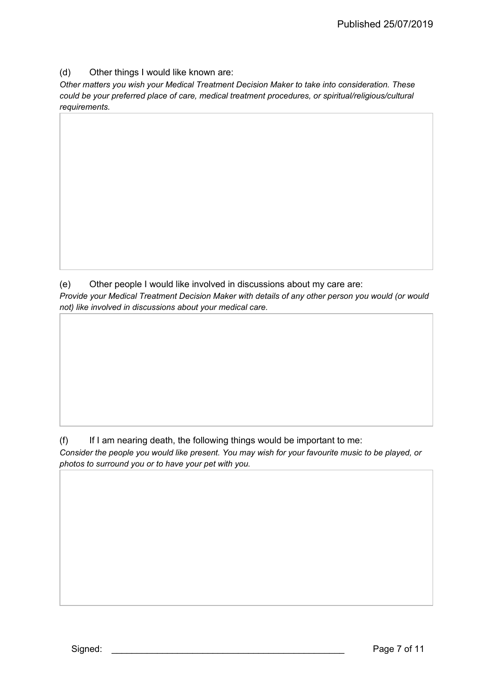(d) Other things I would like known are:

*Other matters you wish your Medical Treatment Decision Maker to take into consideration. These could be your preferred place of care, medical treatment procedures, or spiritual/religious/cultural requirements.* 

(e) Other people I would like involved in discussions about my care are: *Provide your Medical Treatment Decision Maker with details of any other person you would (or would not) like involved in discussions about your medical care.* 

(f) If I am nearing death, the following things would be important to me: *Consider the people you would like present. You may wish for your favourite music to be played, or photos to surround you or to have your pet with you.*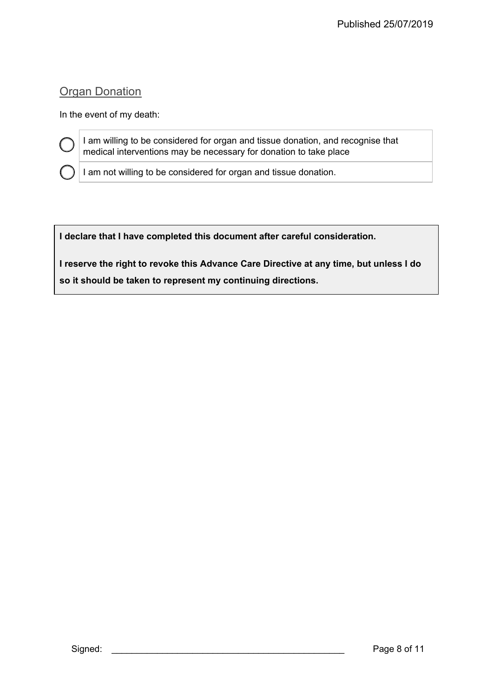### **Organ Donation**

In the event of my death:

I am willing to be considered for organ and tissue donation, and recognise that medical interventions may be necessary for donation to take place

I am not willing to be considered for organ and tissue donation.

**I declare that I have completed this document after careful consideration.** 

**I reserve the right to revoke this Advance Care Directive at any time, but unless I do so it should be taken to represent my continuing directions.**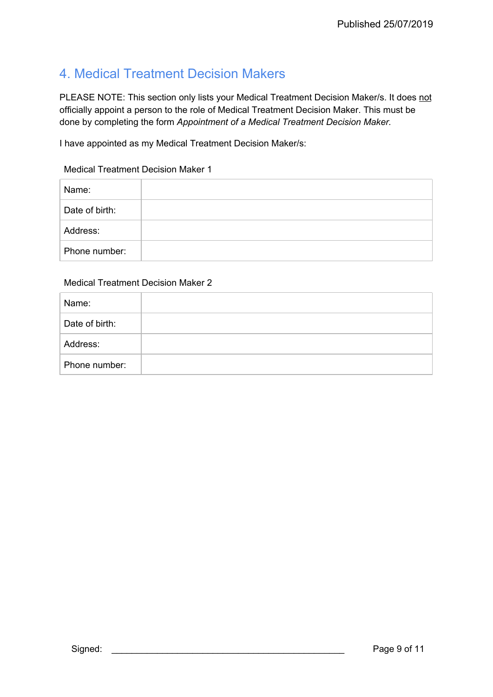## 4. Medical Treatment Decision Makers

PLEASE NOTE: This section only lists your Medical Treatment Decision Maker/s. It does not officially appoint a person to the role of Medical Treatment Decision Maker. This must be done by completing the form *Appointment of a Medical Treatment Decision Maker.* 

I have appointed as my Medical Treatment Decision Maker/s:

#### Medical Treatment Decision Maker 1

| Name:          |  |
|----------------|--|
| Date of birth: |  |
| Address:       |  |
| Phone number:  |  |

#### Medical Treatment Decision Maker 2

| Name:          |  |
|----------------|--|
| Date of birth: |  |
| Address:       |  |
| Phone number:  |  |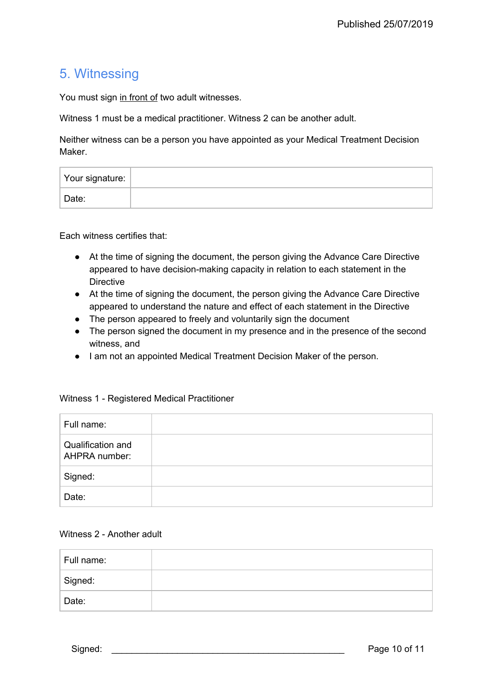### 5. Witnessing

You must sign in front of two adult witnesses.

Witness 1 must be a medical practitioner. Witness 2 can be another adult.

Neither witness can be a person you have appointed as your Medical Treatment Decision Maker.

| Your signature: |  |
|-----------------|--|
| Date:           |  |

Each witness certifies that:

- At the time of signing the document, the person giving the Advance Care Directive appeared to have decision-making capacity in relation to each statement in the **Directive**
- At the time of signing the document, the person giving the Advance Care Directive appeared to understand the nature and effect of each statement in the Directive
- The person appeared to freely and voluntarily sign the document
- The person signed the document in my presence and in the presence of the second witness, and
- I am not an appointed Medical Treatment Decision Maker of the person.

| Full name:                         |  |
|------------------------------------|--|
| Qualification and<br>AHPRA number: |  |
| Signed:                            |  |
| Date:                              |  |

#### Witness 1 - Registered Medical Practitioner

#### Witness 2 - Another adult

| Full name: |  |
|------------|--|
| Signed:    |  |
| Date:      |  |